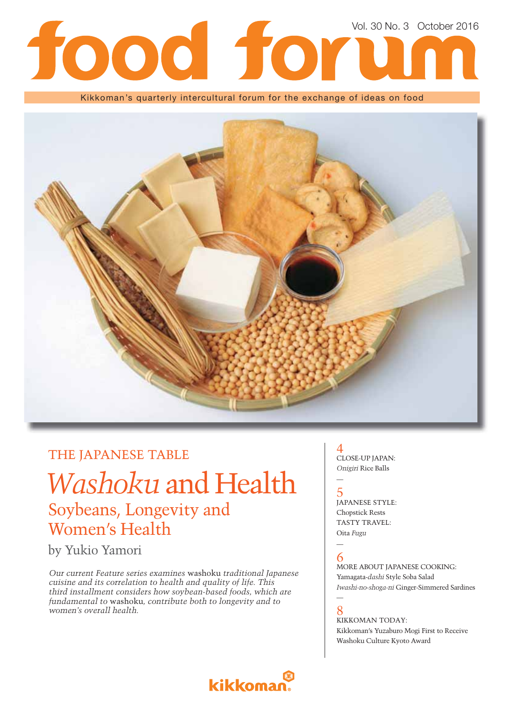# Vol. 30 No. 3 October 2016<br>
and a set of the contract of the contract of the contract of the contract of the contract of the contract of the contract of the contract of the contract of the contract of the contract of the c 17

Kikkoman's quarterly intercultural forum for the exchange of ideas on food



### THE JAPANESE TABLE

# *Washoku* and Health Soybeans, Longevity and Women's Health

by Yukio Yamori

*Our current Feature series examines* washoku *traditional Japanese cuisine and its correlation to health and quality of life. This third installment considers how soybean-based foods, which are fundamental to* washoku*, contribute both to longevity and to women's overall health.*

kikkoma

#### 4 CLOSE-UP JAPAN: *Onigiri* Rice Balls

### 5 JAPANESE STYLE: Chopstick Rests TASTY TRAVEL: Oita *Fugu*

#### — 6

—

MORE ABOUT JAPANESE COOKING: Yamagata-*dashi* Style Soba Salad *Iwashi-no-shoga-ni* Ginger-Simmered Sardines

#### — 8

KIKKOMAN TODAY: Kikkoman's Yuzaburo Mogi First to Receive Washoku Culture Kyoto Award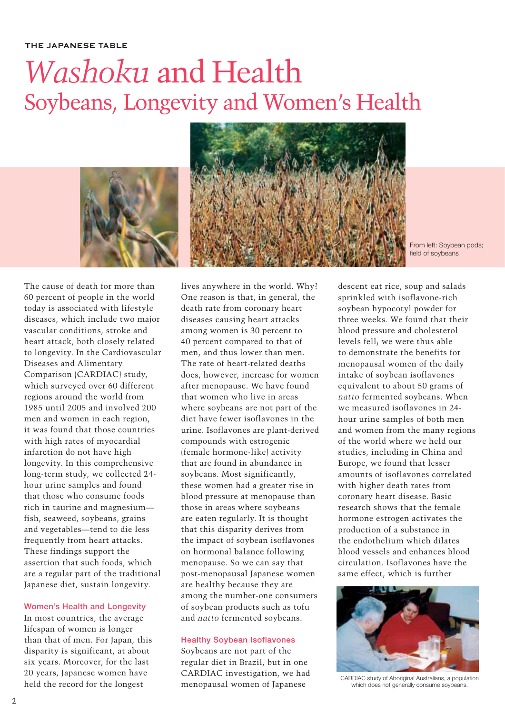# *Washoku* and Health Soybeans, Longevity and Women's Health



From left: Soybean pods; field of soybeans

The cause of death for more than 60 percent of people in the world today is associated with lifestyle diseases, which include two major vascular conditions, stroke and heart attack, both closely related to longevity. In the Cardiovascular Diseases and Alimentary Comparison (CARDIAC) study, which surveyed over 60 different regions around the world from 1985 until 2005 and involved 200 men and women in each region, it was found that those countries with high rates of myocardial infarction do not have high longevity. In this comprehensive long-term study, we collected 24 hour urine samples and found that those who consume foods rich in taurine and magnesium fish, seaweed, soybeans, grains and vegetables—tend to die less frequently from heart attacks. These findings support the assertion that such foods, which are a regular part of the traditional Japanese diet, sustain longevity.

#### **Women's Health and Longevity**

In most countries, the average lifespan of women is longer than that of men. For Japan, this disparity is significant, at about six years. Moreover, for the last 20 years, Japanese women have held the record for the longest

lives anywhere in the world. Why? One reason is that, in general, the death rate from coronary heart diseases causing heart attacks among women is 30 percent to 40 percent compared to that of men, and thus lower than men. The rate of heart-related deaths does, however, increase for women after menopause. We have found that women who live in areas where soybeans are not part of the diet have fewer isoflavones in the urine. Isoflavones are plant-derived compounds with estrogenic (female hormone-like) activity that are found in abundance in soybeans. Most significantly, these women had a greater rise in blood pressure at menopause than those in areas where soybeans are eaten regularly. It is thought that this disparity derives from the impact of soybean isoflavones on hormonal balance following menopause. So we can say that post-menopausal Japanese women are healthy because they are among the number-one consumers of soybean products such as tofu and *natto* fermented soybeans.

#### **Healthy Soybean Isoflavones**

Soybeans are not part of the regular diet in Brazil, but in one CARDIAC investigation, we had menopausal women of Japanese

descent eat rice, soup and salads sprinkled with isoflavone-rich soybean hypocotyl powder for three weeks. We found that their blood pressure and cholesterol levels fell; we were thus able to demonstrate the benefits for menopausal women of the daily intake of soybean isoflavones equivalent to about 50 grams of *natto* fermented soybeans. When we measured isoflavones in 24 hour urine samples of both men and women from the many regions of the world where we held our studies, including in China and Europe, we found that lesser amounts of isoflavones correlated with higher death rates from coronary heart disease. Basic research shows that the female hormone estrogen activates the production of a substance in the endothelium which dilates blood vessels and enhances blood circulation. Isoflavones have the same effect, which is further



CARDIAC study of Aboriginal Australians, a population which does not generally consume soybeans.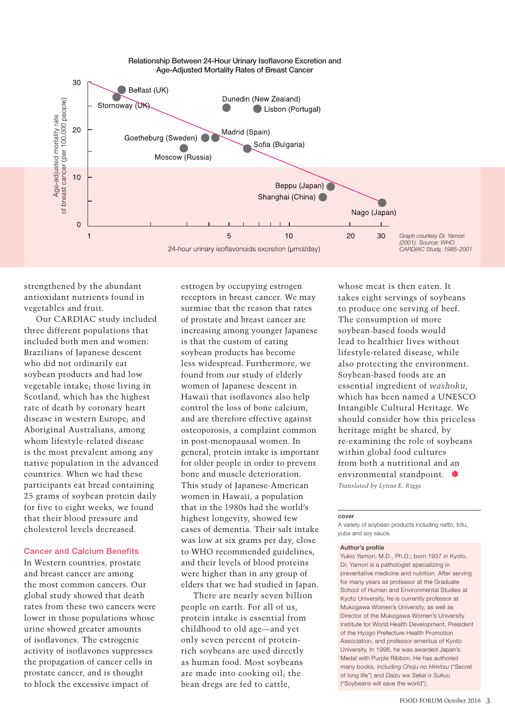

strengthened by the abundant antioxidant nutrients found in vegetables and fruit.

Our CARDIAC study included three different populations that included both men and women: Brazilians of Japanese descent who did not ordinarily eat soybean products and had low vegetable intake; those living in Scotland, which has the highest rate of death by coronary heart disease in western Europe; and Aboriginal Australians, among whom lifestyle-related disease is the most prevalent among any native population in the advanced countries. When we had these participants eat bread containing 25 grams of soybean protein daily for five to eight weeks, we found that their blood pressure and cholesterol levels decreased.

#### **Cancer and Calcium Benefits**

In Western countries, prostate and breast cancer are among the most common cancers. Our global study showed that death rates from these two cancers were lower in those populations whose urine showed greater amounts of isoflavones. The estrogenic activity of isoflavones suppresses the propagation of cancer cells in prostate cancer, and is thought to block the excessive impact of

estrogen by occupying estrogen receptors in breast cancer. We may surmise that the reason that rates of prostate and breast cancer are increasing among younger Japanese is that the custom of eating soybean products has become less widespread. Furthermore, we found from our study of elderly women of Japanese descent in Hawaii that isoflavones also help control the loss of bone calcium, and are therefore effective against osteoporosis, a complaint common in post-menopausal women. In general, protein intake is important for older people in order to prevent bone and muscle deterioration. This study of Japanese-American women in Hawaii, a population that in the 1980s had the world's highest longevity, showed few cases of dementia. Their salt intake was low at six grams per day, close to WHO recommended guidelines, and their levels of blood proteins were higher than in any group of elders that we had studied in Japan.

There are nearly seven billion people on earth. For all of us, protein intake is essential from childhood to old age—and yet only seven percent of proteinrich soybeans are used directly as human food. Most soybeans are made into cooking oil; the bean dregs are fed to cattle,

whose meat is then eaten. It takes eight servings of soybeans to produce one serving of beef. The consumption of more soybean-based foods would lead to healthier lives without lifestyle-related disease, while also protecting the environment. Soybean-based foods are an essential ingredient of *washoku*, which has been named a UNESCO Intangible Cultural Heritage. We should consider how this priceless heritage might be shared, by re-examining the role of soybeans within global food cultures from both a nutritional and an environmental standpoint. *Translated by Lynne E. Riggs*

#### **cover**

A variety of soybean products including *natto*, tofu, *yuba* and soy sauce.

#### **Author's profile**

Yukio Yamori, M.D., Ph.D.; born 1937 in Kyoto. Dr. Yamori is a pathologist specializing in preventative medicine and nutrition. After serving for many years as professor at the Graduate School of Human and Environmental Studies at Kyoto University, he is currently professor at Mukogawa Women's University, as well as Director of the Mukogawa Women's University Institute for World Health Development, President of the Hyogo Prefecture Health Promotion Association, and professor emeritus of Kyoto University. In 1998, he was awarded Japan's Medal with Purple Ribbon. He has authored many books, including *Choju no Himitsu* ("Secret of long life") and *Daizu wa Sekai o Sukuu* ("Soybeans will save the world").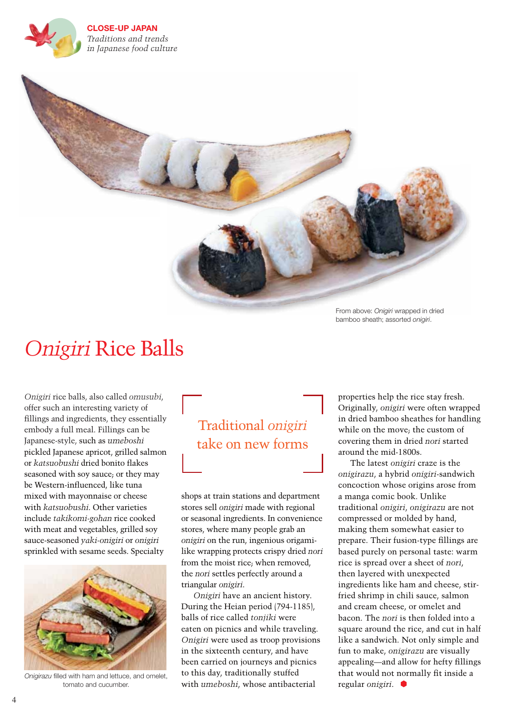**CLOSE-UP JAPAN** *Traditions and trends in Japanese food culture* 



From above: *Onigiri* wrapped in dried bamboo sheath; assorted *onigiri*.

# *Onigiri* Rice Balls

*Onigiri* rice balls, also called *omusubi*, offer such an interesting variety of fillings and ingredients, they essentially embody a full meal. Fillings can be Japanese-style, such as *umeboshi*  pickled Japanese apricot, grilled salmon or *katsuobushi* dried bonito flakes seasoned with soy sauce; or they may be Western-influenced, like tuna mixed with mayonnaise or cheese with *katsuobushi*. Other varieties include *takikomi-gohan* rice cooked with meat and vegetables, grilled soy sauce-seasoned *yaki-onigiri* or *onigiri*  sprinkled with sesame seeds. Specialty



*Onigirazu* filled with ham and lettuce, and omelet, tomato and cucumber.

# Traditional *onigiri* take on new forms

shops at train stations and department stores sell *onigiri* made with regional or seasonal ingredients. In convenience stores, where many people grab an *onigiri* on the run, ingenious origamilike wrapping protects crispy dried *nori* from the moist rice; when removed, the *nori* settles perfectly around a triangular *onigiri*.

*Onigiri* have an ancient history. During the Heian period (794-1185), balls of rice called *tonjiki* were eaten on picnics and while traveling. *Onigiri* were used as troop provisions in the sixteenth century, and have been carried on journeys and picnics to this day, traditionally stuffed with *umeboshi*, whose antibacterial

properties help the rice stay fresh. Originally, *onigiri* were often wrapped in dried bamboo sheathes for handling while on the move; the custom of covering them in dried *nori* started around the mid-1800s.

The latest *onigiri* craze is the *onigirazu*, a hybrid *onigiri*-sandwich concoction whose origins arose from a manga comic book. Unlike traditional *onigiri*, *onigirazu* are not compressed or molded by hand, making them somewhat easier to prepare. Their fusion-type fillings are based purely on personal taste: warm rice is spread over a sheet of *nori*, then layered with unexpected ingredients like ham and cheese, stirfried shrimp in chili sauce, salmon and cream cheese, or omelet and bacon. The *nori* is then folded into a square around the rice, and cut in half like a sandwich. Not only simple and fun to make, *onigirazu* are visually appealing—and allow for hefty fillings that would not normally fit inside a regular *onigiri*.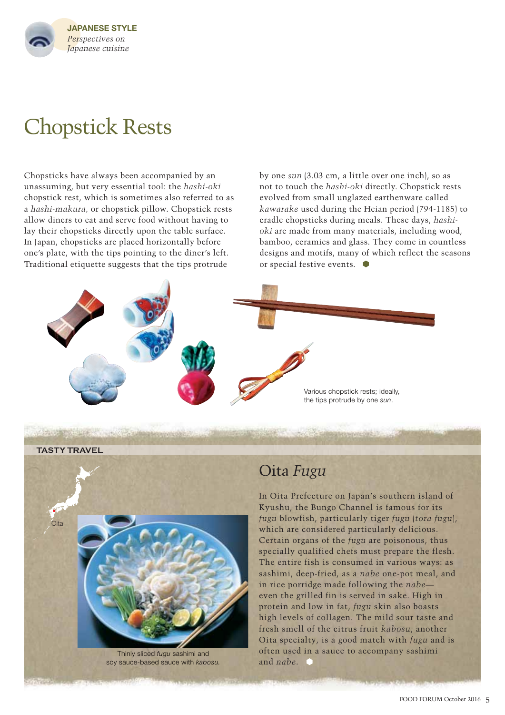

# Chopstick Rests

Chopsticks have always been accompanied by an unassuming, but very essential tool: the *hashi-oki*  chopstick rest, which is sometimes also referred to as a *hashi-makura,* or chopstick pillow. Chopstick rests allow diners to eat and serve food without having to lay their chopsticks directly upon the table surface. In Japan, chopsticks are placed horizontally before one's plate, with the tips pointing to the diner's left. Traditional etiquette suggests that the tips protrude

by one *sun* (3.03 cm, a little over one inch), so as not to touch the *hashi-oki* directly. Chopstick rests evolved from small unglazed earthenware called *kawarake* used during the Heian period (794-1185) to cradle chopsticks during meals. These days, *hashioki* are made from many materials, including wood, bamboo, ceramics and glass. They come in countless designs and motifs, many of which reflect the seasons or special festive events.







soy sauce-based sauce with *kabosu.*

### Oita *Fugu*

In Oita Prefecture on Japan's southern island of Kyushu, the Bungo Channel is famous for its *fugu* blowfish, particularly tiger *fugu* (*tora fugu*), which are considered particularly delicious. Certain organs of the *fugu* are poisonous, thus specially qualified chefs must prepare the flesh. The entire fish is consumed in various ways: as sashimi, deep-fried, as a *nabe* one-pot meal, and in rice porridge made following the *nabe* even the grilled fin is served in sake. High in protein and low in fat, *fugu* skin also boasts high levels of collagen. The mild sour taste and fresh smell of the citrus fruit *kabosu*, another Oita specialty, is a good match with *fugu* and is often used in a sauce to accompany sashimi and *nabe*.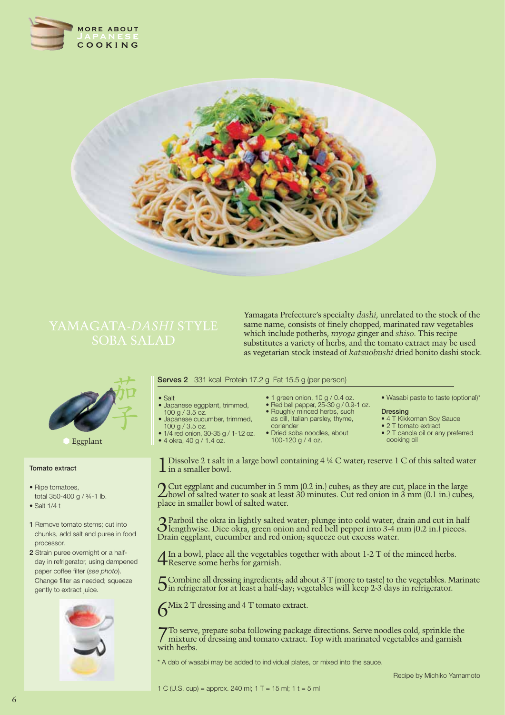



Yamagata Prefecture's specialty *dashi*, unrelated to the stock of the same name, consists of finely chopped, marinated raw vegetables which include potherbs, *myoga* ginger and *shiso*. This recipe substitutes a variety of herbs, and the tomato extract may be used as vegetarian stock instead of *katsuobushi* dried bonito dashi stock.



Eggplant

#### **Tomato extract**

- Ripe tomatoes, total 350-400 g / ¾-1 lb.
- $\bullet$  Salt 1/4 t
- **1** Remove tomato stems; cut into chunks, add salt and puree in food processor.
- **2** Strain puree overnight or a halfday in refrigerator, using dampened paper coffee filter (*see photo*). Change filter as needed; squeeze gently to extract juice.



#### **Serves 2** 331 kcal Protein 17.2 g Fat 15.5 g (per person)

- $\bullet$  Salt
- Japanese eggplant, trimmed.
- 100 g / 3.5 oz. • Japanese cucumber, trimmed,
- 100 g / 3.5 oz.
- $1/4$  red onion, 30-35 g / 1-1.2 oz.  $\bullet$  4 okra, 40 g  $/$  1.4 oz.
- $\bullet$  1 green onion, 10 g / 0.4 oz.
- $\bullet$  Red bell pepper, 25-30 g / 0.9-1 oz. • Roughly minced herbs, such
- as dill, Italian parsley, thyme, coriander
- Dried soba noodles, about 100-120 g / 4 oz.

#### • Wasabi paste to taste (optional)\*

- **Dressing**
- 4 T Kikkoman Soy Sauce
- $\bullet$  2 T tomato extract • 2 T canola oil or any preferred
- cooking oil

**1** Dissolve 2 t salt in a large bowl containing 4  $\frac{1}{4}$  C water; reserve 1 C of this salted water in a smaller bowl.

2 Cut eggplant and cucumber in 5 mm (0.2 in.) cubes; as they are cut, place in the large bowl of salted water to soak at least 30 minutes. Cut red onion in 3 mm (0.1 in.) cubes, place in smaller bowl of salted water.

3 Parboil the okra in lightly salted water; plunge into cold water, drain and cut in half lengthwise. Dice okra, green onion and red bell pepper into 3-4 mm (0.2 in.) pieces. Drain eggplant, cucumber and red onion; squeeze out excess water.

In a bowl, place all the vegetables together with about 1-2 T of the minced herbs. **4** Reserve some herbs for garnish.

 $\Gamma$  Combine all dressing ingredients; add about 3 T (more to taste) to the vegetables. Marinate  $\sum$  in refrigerator for at least a half-day; vegetables will keep 2-3 days in refrigerator.

6Mix 2 T dressing and 4 T tomato extract.

7To serve, prepare soba following package directions. Serve noodles cold, sprinkle the mixture of dressing and tomato extract. Top with marinated vegetables and garnish with herbs.

\* A dab of wasabi may be added to individual plates, or mixed into the sauce.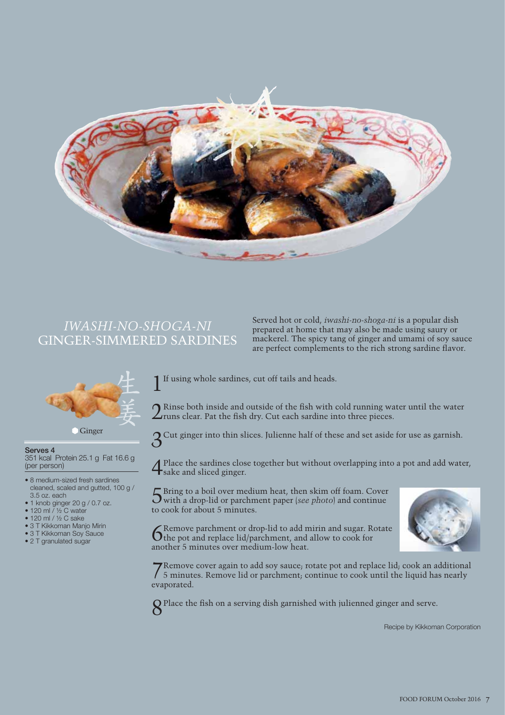

### *IWASHI-NO-SHOGA-NI* GINGER-SIMMERED SARDINES

Served hot or cold, *iwashi-no-shoga-ni* is a popular dish prepared at home that may also be made using saury or mackerel. The spicy tang of ginger and umami of soy sauce are perfect complements to the rich strong sardine flavor.



**Ginger** 

**Serves 4** 

351 kcal Protein 25.1 g Fat 16.6 g (per person)

- 8 medium-sized fresh sardines cleaned, scaled and gutted, 100 g / 3.5 oz. each
- $\bullet$  1 knob ginger 20 g / 0.7 oz.
- $\bullet$  120 ml / 1/2 C water
- $\bullet$  120 ml / ½ C sake
- 3 T Kikkoman Manjo Mirin
- 3 T Kikkoman Soy Sauce
- $\bullet$  2 T granulated sugar

If using whole sardines, cut off tails and heads.

 $\bigcap$  Rinse both inside and outside of the fish with cold running water until the water  $\angle$ runs clear. Pat the fish dry. Cut each sardine into three pieces.

3Cut ginger into thin slices. Julienne half of these and set aside for use as garnish.

4 Place the sardines close together but without overlapping into a pot and add water, sake and sliced ginger.

5 Bring to a boil over medium heat, then skim off foam. Cover with a drop-lid or parchment paper (*see photo*) and continue to cook for about 5 minutes.



6 Remove parchment or drop-lid to add mirin and sugar. Rotate the pot and replace lid/parchment, and allow to cook for another 5 minutes over medium-low heat.

7Remove cover again to add soy sauce; rotate pot and replace lid; cook an additional 5 minutes. Remove lid or parchment; continue to cook until the liquid has nearly evaporated.

8<sup>Place</sup> the fish on a serving dish garnished with julienned ginger and serve.

Recipe by Kikkoman Corporation